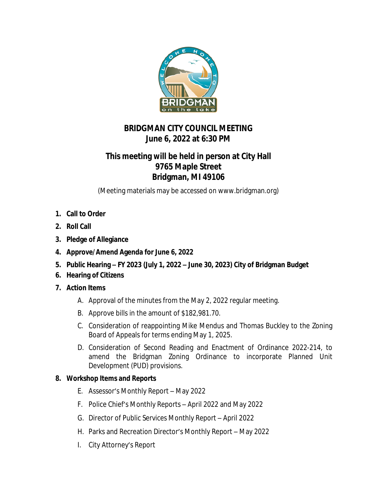

## **BRIDGMAN CITY COUNCIL MEETING June 6, 2022 at 6:30 PM**

## **This meeting will be held in person at City Hall 9765 Maple Street Bridgman, MI 49106**

(Meeting materials may be accessed on www.bridgman.org)

- **1. Call to Order**
- **2. Roll Call**
- **3. Pledge of Allegiance**
- **4. Approve/Amend Agenda for June 6, 2022**
- **5. Public Hearing – FY 2023 (July 1, 2022 – June 30, 2023) City of Bridgman Budget**
- **6. Hearing of Citizens**
- **7. Action Items**
	- A. Approval of the minutes from the May 2, 2022 regular meeting.
	- B. Approve bills in the amount of \$182,981.70.
	- C. Consideration of reappointing Mike Mendus and Thomas Buckley to the Zoning Board of Appeals for terms ending May 1, 2025.
	- D. Consideration of Second Reading and Enactment of Ordinance 2022-214, to amend the Bridgman Zoning Ordinance to incorporate Planned Unit Development (PUD) provisions.

## **8. Workshop Items and Reports**

- E. Assessor's Monthly Report May 2022
- F. Police Chief's Monthly Reports April 2022 and May 2022
- G. Director of Public Services Monthly Report April 2022
- H. Parks and Recreation Director's Monthly Report May 2022
- I. City Attorney's Report